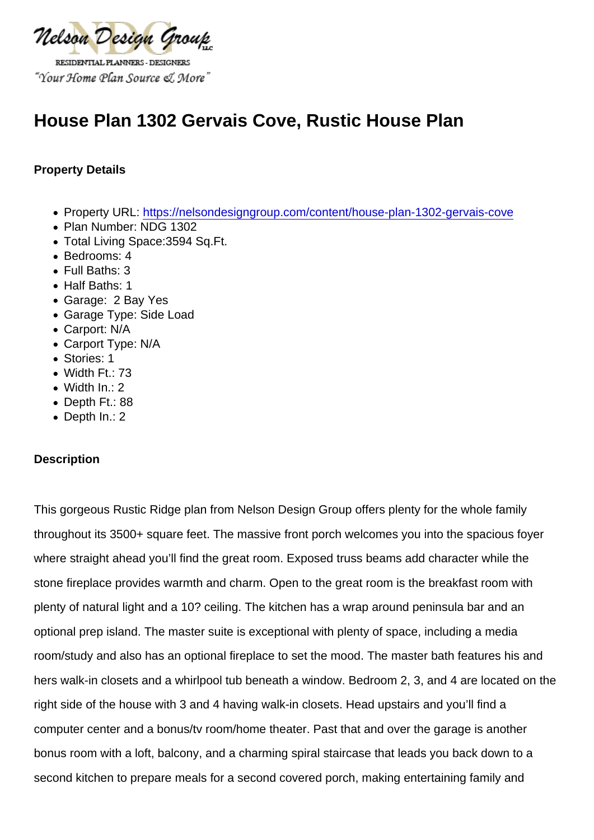# House Plan 1302 Gervais Cove, Rustic House Plan

Property Details

- Property URL:<https://nelsondesigngroup.com/content/house-plan-1302-gervais-cove>
- Plan Number: NDG 1302
- Total Living Space:3594 Sq.Ft.
- Bedrooms: 4
- Full Baths: 3
- Half Baths: 1
- Garage: 2 Bay Yes
- Garage Type: Side Load
- Carport: N/A
- Carport Type: N/A
- Stories: 1
- Width Ft.: 73
- Width In.: 2
- Depth Ft.: 88
- Depth In.: 2

#### **Description**

This gorgeous Rustic Ridge plan from Nelson Design Group offers plenty for the whole family throughout its 3500+ square feet. The massive front porch welcomes you into the spacious foyer where straight ahead you'll find the great room. Exposed truss beams add character while the stone fireplace provides warmth and charm. Open to the great room is the breakfast room with plenty of natural light and a 10? ceiling. The kitchen has a wrap around peninsula bar and an optional prep island. The master suite is exceptional with plenty of space, including a media room/study and also has an optional fireplace to set the mood. The master bath features his and hers walk-in closets and a whirlpool tub beneath a window. Bedroom 2, 3, and 4 are located on the right side of the house with 3 and 4 having walk-in closets. Head upstairs and you'll find a computer center and a bonus/tv room/home theater. Past that and over the garage is another bonus room with a loft, balcony, and a charming spiral staircase that leads you back down to a second kitchen to prepare meals for a second covered porch, making entertaining family and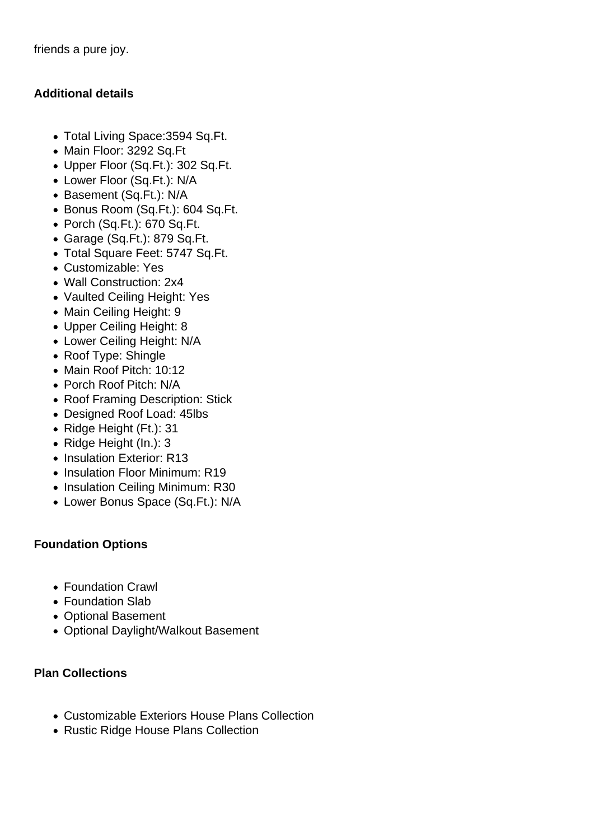friends a pure joy.

### **Additional details**

- Total Living Space:3594 Sq.Ft.
- Main Floor: 3292 Sq.Ft
- Upper Floor (Sq.Ft.): 302 Sq.Ft.
- Lower Floor (Sq.Ft.): N/A
- Basement (Sq.Ft.): N/A
- Bonus Room (Sq.Ft.): 604 Sq.Ft.
- Porch (Sq.Ft.): 670 Sq.Ft.
- Garage (Sq.Ft.): 879 Sq.Ft.
- Total Square Feet: 5747 Sq.Ft.
- Customizable: Yes
- Wall Construction: 2x4
- Vaulted Ceiling Height: Yes
- Main Ceiling Height: 9
- Upper Ceiling Height: 8
- Lower Ceiling Height: N/A
- Roof Type: Shingle
- Main Roof Pitch: 10:12
- Porch Roof Pitch: N/A
- Roof Framing Description: Stick
- Designed Roof Load: 45lbs
- Ridge Height (Ft.): 31
- Ridge Height (In.): 3
- Insulation Exterior: R13
- Insulation Floor Minimum: R19
- Insulation Ceiling Minimum: R30
- Lower Bonus Space (Sq.Ft.): N/A

## **Foundation Options**

- Foundation Crawl
- Foundation Slab
- Optional Basement
- Optional Daylight/Walkout Basement

## **Plan Collections**

- Customizable Exteriors House Plans Collection
- Rustic Ridge House Plans Collection